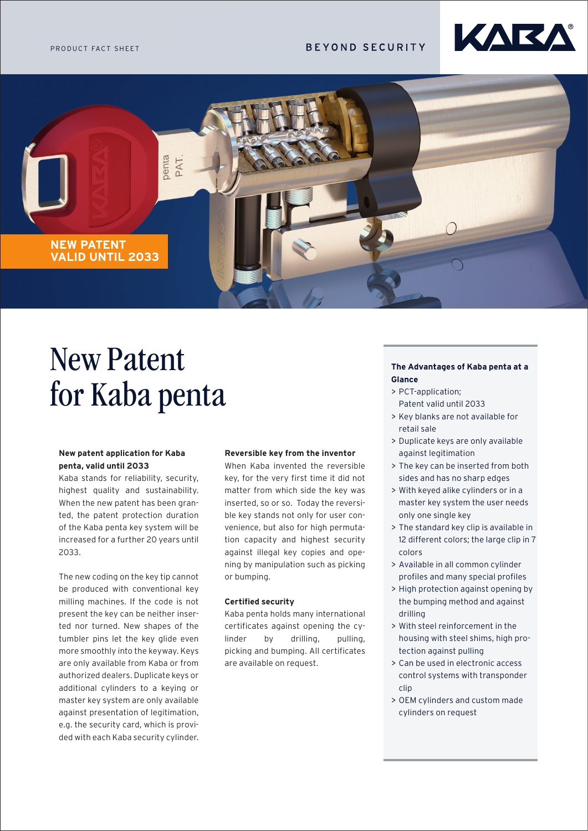# **BEYOND SECURITY**





# New Patent for Kaba penta

## **New patent application for Kaba penta, valid until 2033**

Kaba stands for reliability, security, highest quality and sustainability. When the new patent has been granted, the patent protection duration of the Kaba penta key system will be increased for a further 20 years until 2033.

The new coding on the key tip cannot be produced with conventional key milling machines. If the code is not present the key can be neither inserted nor turned. New shapes of the tumbler pins let the key glide even more smoothly into the keyway. Keys are only available from Kaba or from authorized dealers. Duplicate keys or additional cylinders to a keying or master key system are only available against presentation of legitimation, e.g. the security card, which is provided with each Kaba security cylinder.

#### **Reversible key from the inventor**

When Kaba invented the reversible key, for the very first time it did not matter from which side the key was inserted, so or so. Today the reversible key stands not only for user convenience, but also for high permutation capacity and highest security against illegal key copies and opening by manipulation such as picking or bumping.

#### **Certified security**

Kaba penta holds many international certificates against opening the cylinder by drilling, pulling, picking and bumping. All certificates are available on request.

#### **The Advantages of Kaba penta at a Glance**

- > PCT-application; Patent valid until 2033
- > Key blanks are not available for retail sale
- > Duplicate keys are only available against legitimation
- > The key can be inserted from both sides and has no sharp edges
- > With keyed alike cylinders or in a master key system the user needs only one single key
- > The standard key clip is available in 12 different colors; the large clip in 7 colors
- > Available in all common cylinder profiles and many special profiles
- > High protection against opening by the bumping method and against drilling
- > With steel reinforcement in the housing with steel shims, high protection against pulling
- > Can be used in electronic access control systems with transponder clip
- > OEM cylinders and custom made cylinders on request